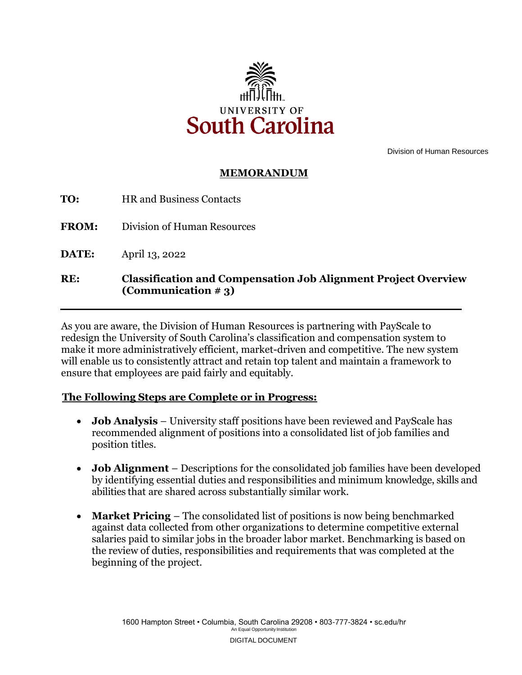

Division of Human Resources

### **MEMORANDUM**

**FROM:** Division of Human Resources

**DATE:** April 13, 2022

### **RE: Classification and Compensation Job Alignment Project Overview (Communication # 3)**

As you are aware, the Division of Human Resources is partnering with PayScale to redesign the University of South Carolina's classification and compensation system to make it more administratively efficient, market-driven and competitive. The new system will enable us to consistently attract and retain top talent and maintain a framework to ensure that employees are paid fairly and equitably.

#### **The Following Steps are Complete or in Progress:**

- **Job Analysis**  University staff positions have been reviewed and PayScale has recommended alignment of positions into a consolidated list of job families and position titles.
- by identifying essential duties and responsibilities and minimum knowledge, skills and • **Job Alignment** – Descriptions for the consolidated job families have been developed abilities that are shared across substantially similar work.
- **Market Pricing** The consolidated list of positions is now being benchmarked against data collected from other organizations to determine competitive external salaries paid to similar jobs in the broader labor market. Benchmarking is based on the review of duties, responsibilities and requirements that was completed at the beginning of the project.